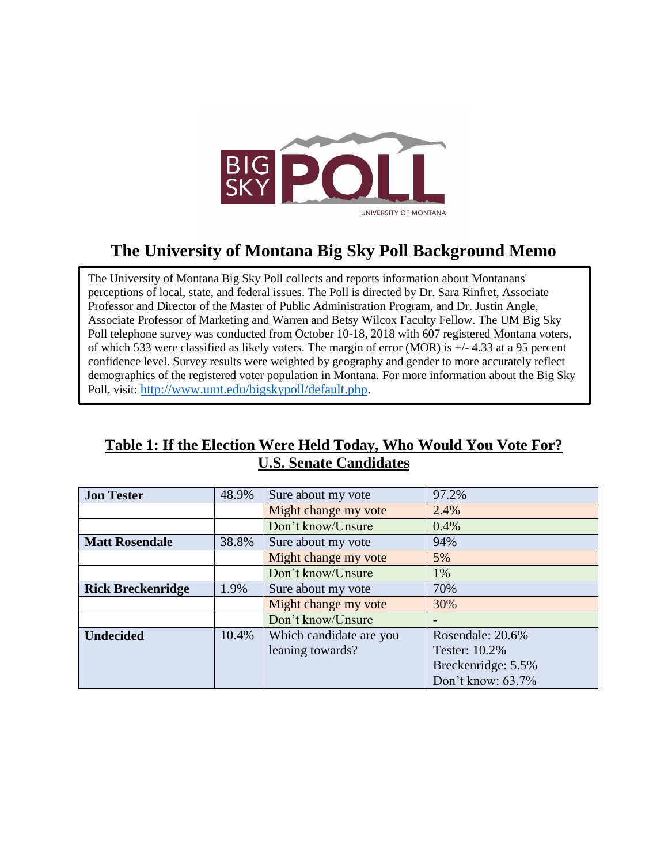

# **The University of Montana Big Sky Poll Background Memo**

The University of Montana Big Sky Poll collects and reports information about Montanans' perceptions of local, state, and federal issues. The Poll is directed by Dr. Sara Rinfret, Associate Professor and Director of the Master of Public Administration Program, and Dr. Justin Angle, Associate Professor of Marketing and Warren and Betsy Wilcox Faculty Fellow. The UM Big Sky Poll telephone survey was conducted from October 10-18, 2018 with 607 registered Montana voters, of which 533 were classified as likely voters. The margin of error (MOR) is +/- 4.33 at a 95 percent confidence level. Survey results were weighted by geography and gender to more accurately reflect demographics of the registered voter population in Montana. For more information about the Big Sky Poll, visit: [http://www.umt.edu/bigskypoll/default.php.](http://www.umt.edu/bigskypoll/default.php)

## **Table 1: If the Election Were Held Today, Who Would You Vote For? U.S. Senate Candidates**

| <b>Jon Tester</b>        | 48.9% | Sure about my vote      | 97.2%              |
|--------------------------|-------|-------------------------|--------------------|
|                          |       | Might change my vote    | 2.4%               |
|                          |       | Don't know/Unsure       | 0.4%               |
| <b>Matt Rosendale</b>    | 38.8% | Sure about my vote      | 94%                |
|                          |       | Might change my vote    | 5%                 |
|                          |       | Don't know/Unsure       | 1%                 |
| <b>Rick Breckenridge</b> | 1.9%  | Sure about my vote      | 70%                |
|                          |       | Might change my vote    | 30%                |
|                          |       | Don't know/Unsure       |                    |
| <b>Undecided</b>         | 10.4% | Which candidate are you | Rosendale: 20.6%   |
|                          |       | leaning towards?        | Tester: 10.2%      |
|                          |       |                         | Breckenridge: 5.5% |
|                          |       |                         | Don't know: 63.7%  |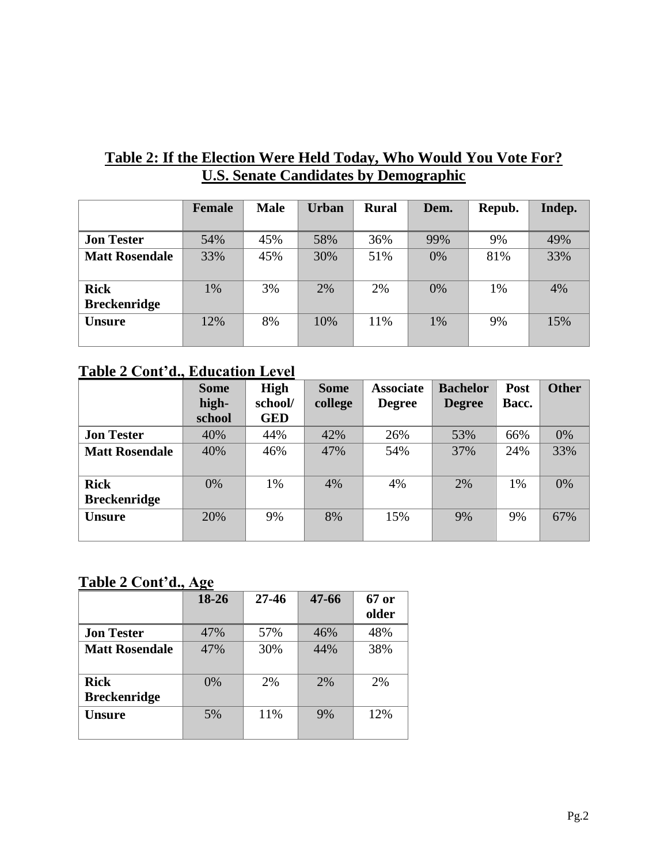### **Table 2: If the Election Were Held Today, Who Would You Vote For? U.S. Senate Candidates by Demographic**

|                                    | <b>Female</b> | <b>Male</b> | <b>Urban</b> | <b>Rural</b> | Dem. | Repub. | Indep. |
|------------------------------------|---------------|-------------|--------------|--------------|------|--------|--------|
| <b>Jon Tester</b>                  | 54%           | 45%         | 58%          | 36%          | 99%  | 9%     | 49%    |
| <b>Matt Rosendale</b>              | 33%           | 45%         | 30%          | 51%          | 0%   | 81%    | 33%    |
| <b>Rick</b><br><b>Breckenridge</b> | $1\%$         | 3%          | 2%           | 2%           | 0%   | 1%     | 4%     |
| <b>Unsure</b>                      | 12%           | 8%          | 10%          | 11%          | 1%   | 9%     | 15%    |

#### **Table 2 Cont'd., Education Level**

|                       | <b>Some</b> | <b>High</b> | <b>Some</b> | <b>Associate</b> | <b>Bachelor</b> | Post  | <b>Other</b> |
|-----------------------|-------------|-------------|-------------|------------------|-----------------|-------|--------------|
|                       | high-       | school/     | college     | <b>Degree</b>    | <b>Degree</b>   | Bacc. |              |
|                       | school      | <b>GED</b>  |             |                  |                 |       |              |
| <b>Jon Tester</b>     | 40%         | 44%         | 42%         | 26%              | 53%             | 66%   | 0%           |
| <b>Matt Rosendale</b> | 40%         | 46%         | 47%         | 54%              | 37%             | 24%   | 33%          |
|                       |             |             |             |                  |                 |       |              |
| <b>Rick</b>           | 0%          | 1%          | 4%          | 4%               | 2%              | 1%    | 0%           |
| <b>Breckenridge</b>   |             |             |             |                  |                 |       |              |
| <b>Unsure</b>         | 20%         | 9%          | 8%          | 15%              | 9%              | 9%    | 67%          |
|                       |             |             |             |                  |                 |       |              |

#### **Table 2 Cont'd., Age**

|                                    | 18-26 | $27 - 46$ | $47 - 66$ | 67 or<br>older |
|------------------------------------|-------|-----------|-----------|----------------|
| <b>Jon Tester</b>                  | 47%   | 57%       | 46%       | 48%            |
| <b>Matt Rosendale</b>              | 47%   | 30%       | 44%       | 38%            |
| <b>Rick</b><br><b>Breckenridge</b> | $0\%$ | 2%        | 2%        | 2%             |
| <b>Unsure</b>                      | 5%    | 11%       | 9%        | 12%            |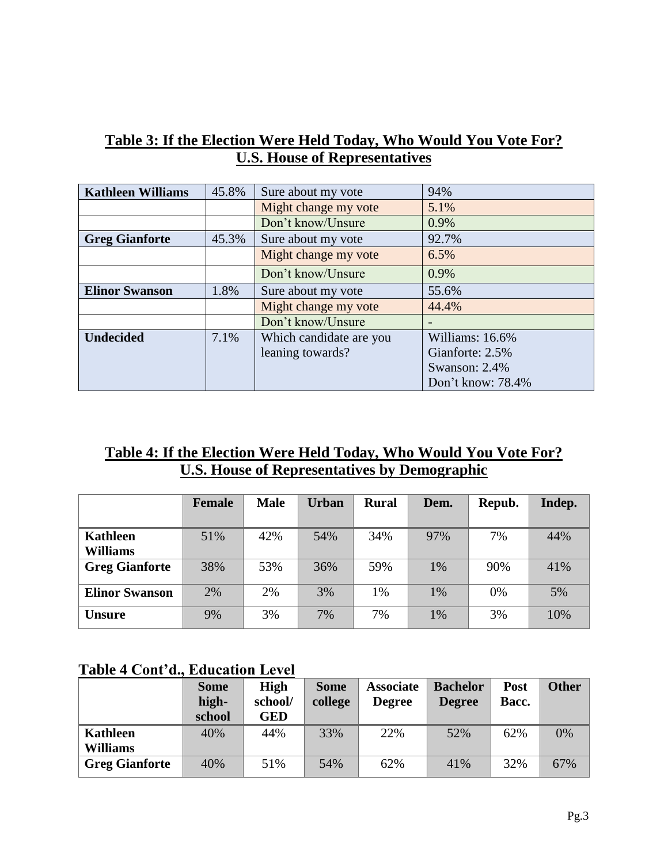| Table 3: If the Election Were Held Today, Who Would You Vote For? |  |
|-------------------------------------------------------------------|--|
| <b>U.S. House of Representatives</b>                              |  |

| <b>Kathleen Williams</b> | 45.8% | Sure about my vote      | 94%                      |
|--------------------------|-------|-------------------------|--------------------------|
|                          |       | Might change my vote    | 5.1%                     |
|                          |       | Don't know/Unsure       | 0.9%                     |
| <b>Greg Gianforte</b>    | 45.3% | Sure about my vote      | 92.7%                    |
|                          |       | Might change my vote    | 6.5%                     |
|                          |       | Don't know/Unsure       | 0.9%                     |
| <b>Elinor Swanson</b>    | 1.8%  | Sure about my vote      | 55.6%                    |
|                          |       | Might change my vote    | 44.4%                    |
|                          |       | Don't know/Unsure       | $\overline{\phantom{0}}$ |
| <b>Undecided</b>         | 7.1%  | Which candidate are you | Williams: 16.6%          |
|                          |       | leaning towards?        | Gianforte: 2.5%          |
|                          |       |                         | Swanson: 2.4%            |
|                          |       |                         | Don't know: 78.4%        |

## **Table 4: If the Election Were Held Today, Who Would You Vote For? U.S. House of Representatives by Demographic**

|                             | <b>Female</b> | <b>Male</b> | <b>Urban</b> | <b>Rural</b> | Dem. | Repub. | Indep. |
|-----------------------------|---------------|-------------|--------------|--------------|------|--------|--------|
| Kathleen<br><b>Williams</b> | 51%           | 42%         | 54%          | 34%          | 97%  | 7%     | 44%    |
| <b>Greg Gianforte</b>       | 38%           | 53%         | 36%          | 59%          | 1%   | 90%    | 41%    |
| <b>Elinor Swanson</b>       | 2%            | 2%          | 3%           | 1%           | 1%   | 0%     | 5%     |
| <b>Unsure</b>               | 9%            | 3%          | 7%           | 7%           | 1%   | 3%     | 10%    |

### **Table 4 Cont'd., Education Level**

|                       | <b>Some</b><br>high-<br>school | <b>High</b><br>school/<br><b>GED</b> | <b>Some</b><br>college | <b>Associate</b><br><b>Degree</b> | <b>Bachelor</b><br><b>Degree</b> | <b>Post</b><br>Bacc. | <b>Other</b> |
|-----------------------|--------------------------------|--------------------------------------|------------------------|-----------------------------------|----------------------------------|----------------------|--------------|
| <b>Kathleen</b>       | 40%                            | 44%                                  | 33%                    | 22%                               | 52%                              | 62%                  | 0%           |
| <b>Williams</b>       |                                |                                      |                        |                                   |                                  |                      |              |
| <b>Greg Gianforte</b> | 40%                            | 51%                                  | 54%                    | 62%                               | 41\%                             | 32%                  | 67%          |